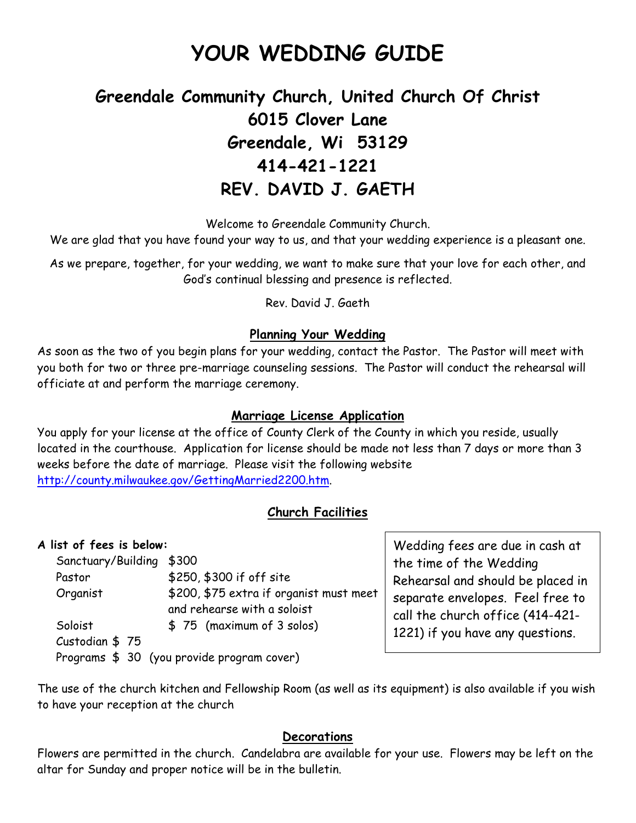# **YOUR WEDDING GUIDE**

# **Greendale Community Church, United Church Of Christ 6015 Clover Lane Greendale, Wi 53129 414-421-1221 REV. DAVID J. GAETH**

Welcome to Greendale Community Church.

We are glad that you have found your way to us, and that your wedding experience is a pleasant one.

As we prepare, together, for your wedding, we want to make sure that your love for each other, and God's continual blessing and presence is reflected.

Rev. David J. Gaeth

#### **Planning Your Wedding**

As soon as the two of you begin plans for your wedding, contact the Pastor. The Pastor will meet with you both for two or three pre-marriage counseling sessions. The Pastor will conduct the rehearsal will officiate at and perform the marriage ceremony.

#### **Marriage License Application**

You apply for your license at the office of County Clerk of the County in which you reside, usually located in the courthouse. Application for license should be made not less than 7 days or more than 3 weeks before the date of marriage. Please visit the following website http://county.milwaukee.gov/GettingMarried2200.htm.

#### **Church Facilities**

#### **A list of fees is below:**

| Sanctuary/Building \$300 |                                            |
|--------------------------|--------------------------------------------|
| Pastor                   | \$250, \$300 if off site                   |
| Organist                 | \$200, \$75 extra if organist must meet    |
|                          | and rehearse with a soloist                |
| Soloist                  | \$75 (maximum of 3 solos)                  |
| Custodian \$75           |                                            |
|                          | Programs \$ 30 (you provide program cover) |

Wedding fees are due in cash at the time of the Wedding Rehearsal and should be placed in separate envelopes. Feel free to call the church office (414-421- 1221) if you have any questions.

The use of the church kitchen and Fellowship Room (as well as its equipment) is also available if you wish to have your reception at the church

#### **Decorations**

Flowers are permitted in the church. Candelabra are available for your use. Flowers may be left on the altar for Sunday and proper notice will be in the bulletin.